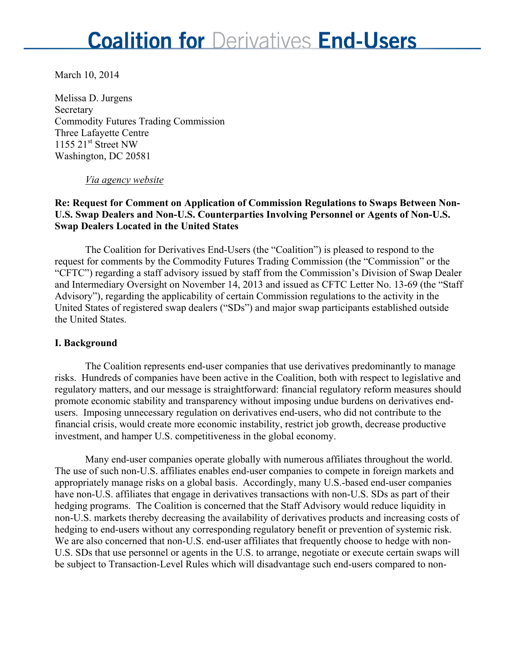March 10, 2014

Melissa D. Jurgens **Secretary** Commodity Futures Trading Commission Three Lafayette Centre 1155  $21<sup>st</sup>$  Street NW Washington, DC 20581

#### *Via agency website*

### **Re: Request for Comment on Application of Commission Regulations to Swaps Between Non-U.S. Swap Dealers and Non-U.S. Counterparties Involving Personnel or Agents of Non-U.S. Swap Dealers Located in the United States**

The Coalition for Derivatives End-Users (the "Coalition") is pleased to respond to the request for comments by the Commodity Futures Trading Commission (the "Commission" or the "CFTC") regarding a staff advisory issued by staff from the Commission's Division of Swap Dealer and Intermediary Oversight on November 14, 2013 and issued as CFTC Letter No. 13-69 (the "Staff Advisory"), regarding the applicability of certain Commission regulations to the activity in the United States of registered swap dealers ("SDs") and major swap participants established outside the United States.

### **I. Background**

The Coalition represents end-user companies that use derivatives predominantly to manage risks. Hundreds of companies have been active in the Coalition, both with respect to legislative and regulatory matters, and our message is straightforward: financial regulatory reform measures should promote economic stability and transparency without imposing undue burdens on derivatives endusers. Imposing unnecessary regulation on derivatives end-users, who did not contribute to the financial crisis, would create more economic instability, restrict job growth, decrease productive investment, and hamper U.S. competitiveness in the global economy.

Many end-user companies operate globally with numerous affiliates throughout the world. The use of such non-U.S. affiliates enables end-user companies to compete in foreign markets and appropriately manage risks on a global basis. Accordingly, many U.S.-based end-user companies have non-U.S. affiliates that engage in derivatives transactions with non-U.S. SDs as part of their hedging programs. The Coalition is concerned that the Staff Advisory would reduce liquidity in non-U.S. markets thereby decreasing the availability of derivatives products and increasing costs of hedging to end-users without any corresponding regulatory benefit or prevention of systemic risk. We are also concerned that non-U.S. end-user affiliates that frequently choose to hedge with non-U.S. SDs that use personnel or agents in the U.S. to arrange, negotiate or execute certain swaps will be subject to Transaction-Level Rules which will disadvantage such end-users compared to non-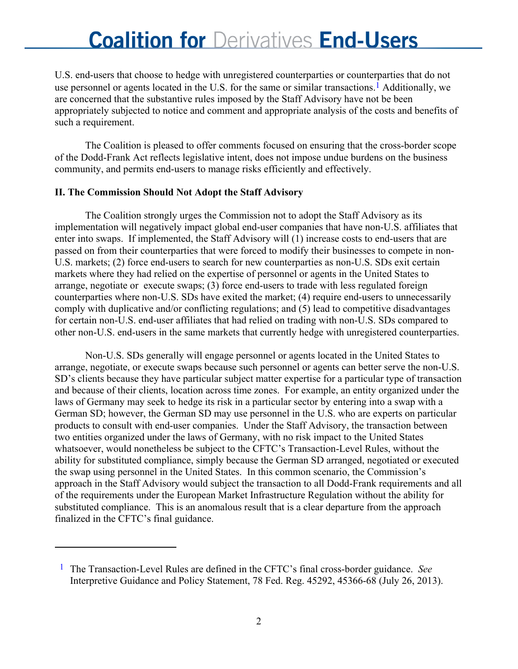U.S. end-users that choose to hedge with unregistered counterparties or counterparties that do not use personnel or agents located in the U.S. for the same or similar transactions.<sup>1</sup> Additionally, we are concerned that the substantive rules imposed by the Staff Advisory have not be been appropriately subjected to notice and comment and appropriate analysis of the costs and benefits of such a requirement.

The Coalition is pleased to offer comments focused on ensuring that the cross-border scope of the Dodd-Frank Act reflects legislative intent, does not impose undue burdens on the business community, and permits end-users to manage risks efficiently and effectively.

#### **II. The Commission Should Not Adopt the Staff Advisory**

 $\overline{a}$ 

The Coalition strongly urges the Commission not to adopt the Staff Advisory as its implementation will negatively impact global end-user companies that have non-U.S. affiliates that enter into swaps. If implemented, the Staff Advisory will (1) increase costs to end-users that are passed on from their counterparties that were forced to modify their businesses to compete in non-U.S. markets; (2) force end-users to search for new counterparties as non-U.S. SDs exit certain markets where they had relied on the expertise of personnel or agents in the United States to arrange, negotiate or execute swaps; (3) force end-users to trade with less regulated foreign counterparties where non-U.S. SDs have exited the market; (4) require end-users to unnecessarily comply with duplicative and/or conflicting regulations; and (5) lead to competitive disadvantages for certain non-U.S. end-user affiliates that had relied on trading with non-U.S. SDs compared to other non-U.S. end-users in the same markets that currently hedge with unregistered counterparties.

Non-U.S. SDs generally will engage personnel or agents located in the United States to arrange, negotiate, or execute swaps because such personnel or agents can better serve the non-U.S. SD's clients because they have particular subject matter expertise for a particular type of transaction and because of their clients, location across time zones. For example, an entity organized under the laws of Germany may seek to hedge its risk in a particular sector by entering into a swap with a German SD; however, the German SD may use personnel in the U.S. who are experts on particular products to consult with end-user companies. Under the Staff Advisory, the transaction between two entities organized under the laws of Germany, with no risk impact to the United States whatsoever, would nonetheless be subject to the CFTC's Transaction-Level Rules, without the ability for substituted compliance, simply because the German SD arranged, negotiated or executed the swap using personnel in the United States. In this common scenario, the Commission's approach in the Staff Advisory would subject the transaction to all Dodd-Frank requirements and all of the requirements under the European Market Infrastructure Regulation without the ability for substituted compliance. This is an anomalous result that is a clear departure from the approach finalized in the CFTC's final guidance.

<sup>1</sup> The Transaction-Level Rules are defined in the CFTC's final cross-border guidance. *See* Interpretive Guidance and Policy Statement, 78 Fed. Reg. 45292, 45366-68 (July 26, 2013).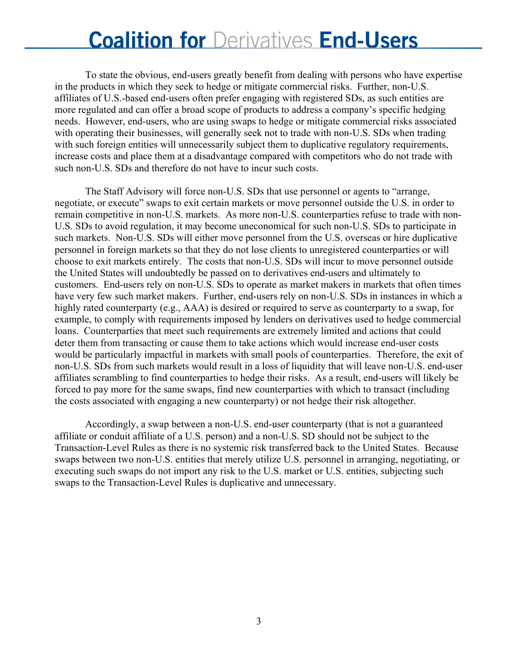To state the obvious, end-users greatly benefit from dealing with persons who have expertise in the products in which they seek to hedge or mitigate commercial risks. Further, non-U.S. affiliates of U.S.-based end-users often prefer engaging with registered SDs, as such entities are more regulated and can offer a broad scope of products to address a company's specific hedging needs. However, end-users, who are using swaps to hedge or mitigate commercial risks associated with operating their businesses, will generally seek not to trade with non-U.S. SDs when trading with such foreign entities will unnecessarily subject them to duplicative regulatory requirements, increase costs and place them at a disadvantage compared with competitors who do not trade with such non-U.S. SDs and therefore do not have to incur such costs.

 The Staff Advisory will force non-U.S. SDs that use personnel or agents to "arrange, negotiate, or execute" swaps to exit certain markets or move personnel outside the U.S. in order to remain competitive in non-U.S. markets. As more non-U.S. counterparties refuse to trade with non-U.S. SDs to avoid regulation, it may become uneconomical for such non-U.S. SDs to participate in such markets. Non-U.S. SDs will either move personnel from the U.S. overseas or hire duplicative personnel in foreign markets so that they do not lose clients to unregistered counterparties or will choose to exit markets entirely. The costs that non-U.S. SDs will incur to move personnel outside the United States will undoubtedly be passed on to derivatives end-users and ultimately to customers. End-users rely on non-U.S. SDs to operate as market makers in markets that often times have very few such market makers. Further, end-users rely on non-U.S. SDs in instances in which a highly rated counterparty (e.g., AAA) is desired or required to serve as counterparty to a swap, for example, to comply with requirements imposed by lenders on derivatives used to hedge commercial loans. Counterparties that meet such requirements are extremely limited and actions that could deter them from transacting or cause them to take actions which would increase end-user costs would be particularly impactful in markets with small pools of counterparties. Therefore, the exit of non-U.S. SDs from such markets would result in a loss of liquidity that will leave non-U.S. end-user affiliates scrambling to find counterparties to hedge their risks. As a result, end-users will likely be forced to pay more for the same swaps, find new counterparties with which to transact (including the costs associated with engaging a new counterparty) or not hedge their risk altogether.

Accordingly, a swap between a non-U.S. end-user counterparty (that is not a guaranteed affiliate or conduit affiliate of a U.S. person) and a non-U.S. SD should not be subject to the Transaction-Level Rules as there is no systemic risk transferred back to the United States. Because swaps between two non-U.S. entities that merely utilize U.S. personnel in arranging, negotiating, or executing such swaps do not import any risk to the U.S. market or U.S. entities, subjecting such swaps to the Transaction-Level Rules is duplicative and unnecessary.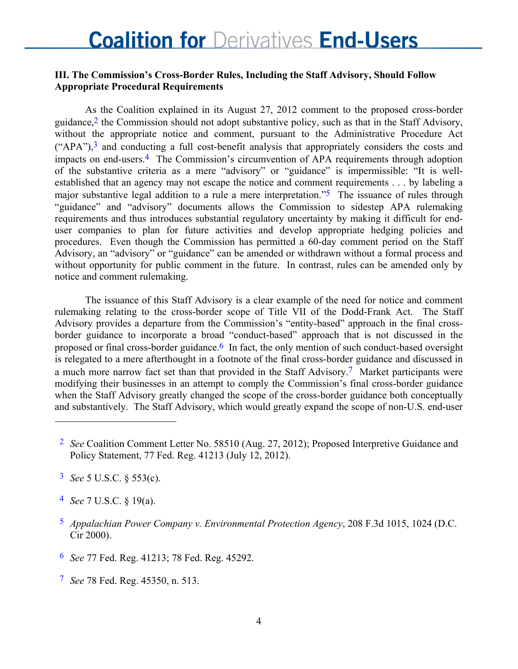### **III. The Commission's Cross-Border Rules, Including the Staff Advisory, Should Follow Appropriate Procedural Requirements**

As the Coalition explained in its August 27, 2012 comment to the proposed cross-border guidance,<sup>2</sup> the Commission should not adopt substantive policy, such as that in the Staff Advisory, without the appropriate notice and comment, pursuant to the Administrative Procedure Act  $("APA")$ ,<sup>3</sup> and conducting a full cost-benefit analysis that appropriately considers the costs and impacts on end-users.4 The Commission's circumvention of APA requirements through adoption of the substantive criteria as a mere "advisory" or "guidance" is impermissible: "It is wellestablished that an agency may not escape the notice and comment requirements . . . by labeling a major substantive legal addition to a rule a mere interpretation.<sup>5</sup> The issuance of rules through "guidance" and "advisory" documents allows the Commission to sidestep APA rulemaking requirements and thus introduces substantial regulatory uncertainty by making it difficult for enduser companies to plan for future activities and develop appropriate hedging policies and procedures. Even though the Commission has permitted a 60-day comment period on the Staff Advisory, an "advisory" or "guidance" can be amended or withdrawn without a formal process and without opportunity for public comment in the future. In contrast, rules can be amended only by notice and comment rulemaking.

The issuance of this Staff Advisory is a clear example of the need for notice and comment rulemaking relating to the cross-border scope of Title VII of the Dodd-Frank Act. The Staff Advisory provides a departure from the Commission's "entity-based" approach in the final crossborder guidance to incorporate a broad "conduct-based" approach that is not discussed in the proposed or final cross-border guidance.<sup>6</sup> In fact, the only mention of such conduct-based oversight is relegated to a mere afterthought in a footnote of the final cross-border guidance and discussed in a much more narrow fact set than that provided in the Staff Advisory.<sup>7</sup> Market participants were modifying their businesses in an attempt to comply the Commission's final cross-border guidance when the Staff Advisory greatly changed the scope of the cross-border guidance both conceptually and substantively. The Staff Advisory, which would greatly expand the scope of non-U.S. end-user

 $\overline{a}$ 

- 6 *See* 77 Fed. Reg. 41213; 78 Fed. Reg. 45292.
- 7 *See* 78 Fed. Reg. 45350, n. 513.

<sup>2</sup> *See* Coalition Comment Letter No. 58510 (Aug. 27, 2012); Proposed Interpretive Guidance and Policy Statement, 77 Fed. Reg. 41213 (July 12, 2012).

<sup>3</sup> *See* 5 U.S.C. § 553(c).

<sup>4</sup> *See* 7 U.S.C. § 19(a).

<sup>5</sup> *Appalachian Power Company v. Environmental Protection Agency*, 208 F.3d 1015, 1024 (D.C. Cir 2000).